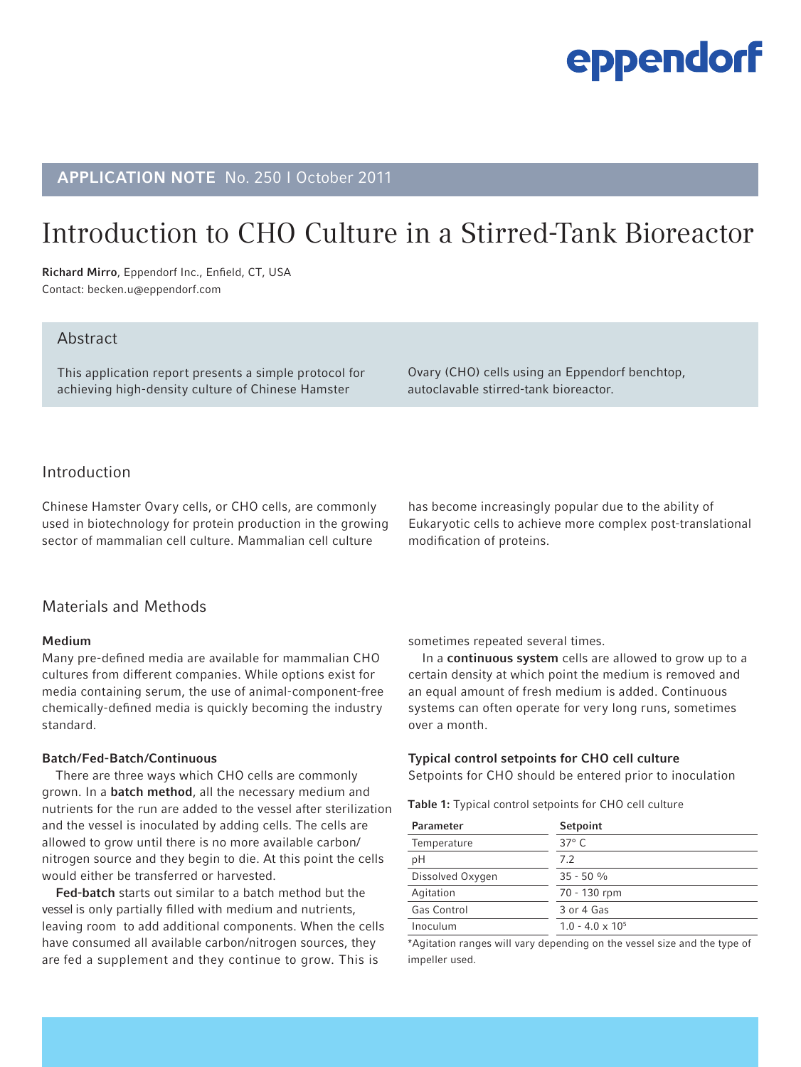# eppendorf

# APPLICATION NOTE No. 250 I October 2011

# Introduction to CHO Culture in a Stirred-Tank Bioreactor

Richard Mirro, Eppendorf Inc., Enfield, CT, USA Contact: becken.u@eppendorf.com

### Abstract

This application report presents a simple protocol for achieving high-density culture of Chinese Hamster

Ovary (CHO) cells using an Eppendorf benchtop, autoclavable stirred-tank bioreactor.

## Introduction

Chinese Hamster Ovary cells, or CHO cells, are commonly used in biotechnology for protein production in the growing sector of mammalian cell culture. Mammalian cell culture

# has become increasingly popular due to the ability of Eukaryotic cells to achieve more complex post-translational modification of proteins.

## Materials and Methods

#### Medium

Many pre-defined media are available for mammalian CHO cultures from different companies. While options exist for media containing serum, the use of animal-component-free chemically-defined media is quickly becoming the industry standard.

#### Batch/Fed-Batch/Continuous

There are three ways which CHO cells are commonly grown. In a **batch method**, all the necessary medium and nutrients for the run are added to the vessel after sterilization and the vessel is inoculated by adding cells. The cells are allowed to grow until there is no more available carbon/ nitrogen source and they begin to die. At this point the cells would either be transferred or harvested.

Fed-batch starts out similar to a batch method but the vessel is only partially filled with medium and nutrients, leaving room to add additional components. When the cells have consumed all available carbon/nitrogen sources, they are fed a supplement and they continue to grow. This is

sometimes repeated several times.

In a continuous system cells are allowed to grow up to a certain density at which point the medium is removed and an equal amount of fresh medium is added. Continuous systems can often operate for very long runs, sometimes over a month.

#### Typical control setpoints for CHO cell culture

Setpoints for CHO should be entered prior to inoculation

Table 1: Typical control setpoints for CHO cell culture

| <b>Parameter</b> | Setpoint                |
|------------------|-------------------------|
| Temperature      | $37^\circ$ C            |
| рH               | 7.2                     |
| Dissolved Oxygen | $35 - 50 %$             |
| Agitation        | 70 - 130 rpm            |
| Gas Control      | 3 or 4 Gas              |
| Inoculum         | $1.0 - 4.0 \times 10^5$ |

\*Agitation ranges will vary depending on the vessel size and the type of impeller used.